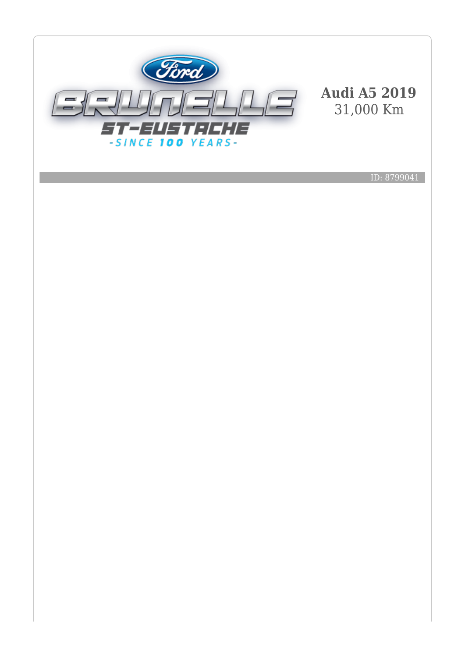

ID: 8799041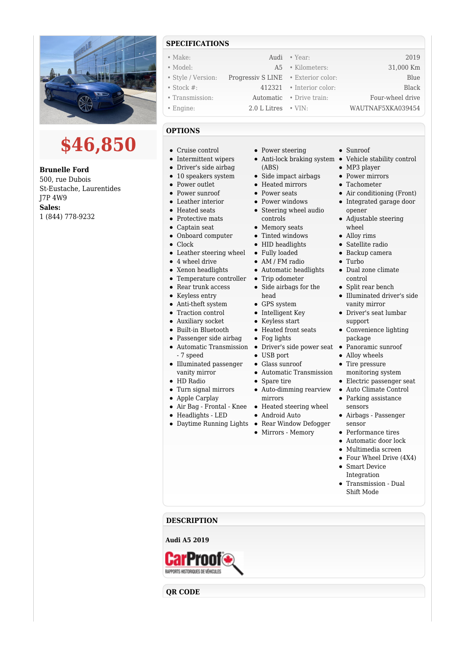

# **\$46,850**

**Brunelle Ford** 500, rue Dubois St-Eustache, Laurentides J7P 4W9 **Sales:** 1 (844) 778-9232

## **SPECIFICATIONS**

• Make: 2019 **Audi • Year:** 2019 • Model: A5 • Kilometers: 31,000 Km • Style / Version: Progressiv S LINE • Exterior color: Blue • Stock #: 412321 • Interior color: Black • Transmission: Automatic • Drive train: Four-wheel drive • Engine: 2.0 L Litres • VIN: WAUTNAF5XKA039454

### **OPTIONS**

- Cruise control
- Intermittent wipers
- Driver's side airbag
- 10 speakers system
- Power outlet
- Power sunroof
- Leather interior
- Heated seats
- Protective mats
- Captain seat
- Onboard computer
- $\bullet$ Clock
- Leather steering wheel
- 4 wheel drive
- Xenon headlights
- Temperature controller
- Rear trunk access
- Keyless entry
- Anti-theft system
- Traction control
- Auxiliary socket
- Built-in Bluetooth
- Passenger side airbag
- Automatic Transmission Driver's side power seat Panoramic sunroof - 7 speed
- Illuminated passenger vanity mirror
- HD Radio
- Turn signal mirrors
- Apple Carplay
- 
- Headlights LED
- 
- Power steering
- (ABS)
- Side impact airbags
- Heated mirrors
- Power seats
- 
- Power windows • Steering wheel audio controls
- Memory seats
- Tinted windows
- HID headlights
- Fully loaded
- AM / FM radio
- Automatic headlights
- Trip odometer
- Side airbags for the
- head
- GPS system
- Intelligent Key
- Keyless start • Heated front seats
- Fog lights
- 
- USB port
- Glass sunroof
- Automatic Transmission
- Spare tire
- Auto-dimming rearview
- mirrors
- Air Bag Frontal Knee Heated steering wheel
	- Android Auto
- Daytime Running Lights Rear Window Defogger
	- Mirrors Memory
- Sunroof
- Anti-lock braking system Vehicle stability control
	- MP3 player
	- Power mirrors
	- Tachometer
	- Air conditioning (Front)
	- Integrated garage door opener
	- Adjustable steering wheel
	- Alloy rims
	- Satellite radio
	- Backup camera
	- Turbo
	- Dual zone climate control
	- Split rear bench
	- Illuminated driver's side vanity mirror
	- Driver's seat lumbar support
	- Convenience lighting package
	-
	- Alloy wheels
	- Tire pressure monitoring system
	- Electric passenger seat
	- Auto Climate Control
	- Parking assistance sensors
	- Airbags Passenger sensor
	- Performance tires
	- Automatic door lock
	- Multimedia screen
	- Four Wheel Drive (4X4)
	- Smart Device Integration
	- Transmission Dual Shift Mode

#### **DESCRIPTION**

#### **Audi A5 2019**

RAPPORTS HISTORIQUES DE VÉHICULE

**QR CODE**